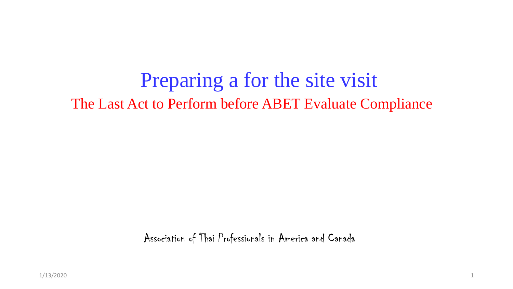Preparing a for the site visit The Last Act to Perform before ABET Evaluate Compliance

Association of Thai Professionals in America and Canada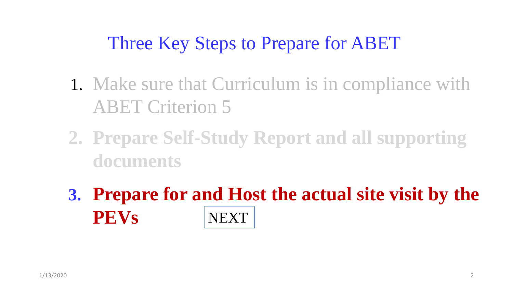#### Three Key Steps to Prepare for ABET

- 1. Make sure that Curriculum is in compliance with ABET Criterion 5
- **2. Prepare Self-Study Report and all supporting documents**
- **3. Prepare for and Host the actual site visit by the PEVs** NEXT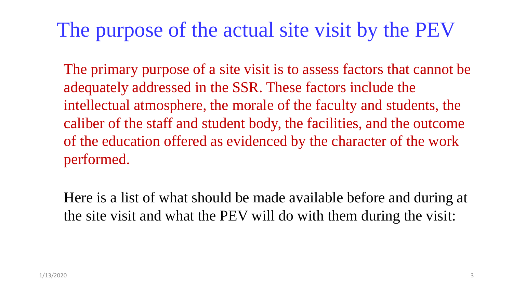#### The purpose of the actual site visit by the PEV

The primary purpose of a site visit is to assess factors that cannot be adequately addressed in the SSR. These factors include the intellectual atmosphere, the morale of the faculty and students, the caliber of the staff and student body, the facilities, and the outcome of the education offered as evidenced by the character of the work performed.

Here is a list of what should be made available before and during at the site visit and what the PEV will do with them during the visit: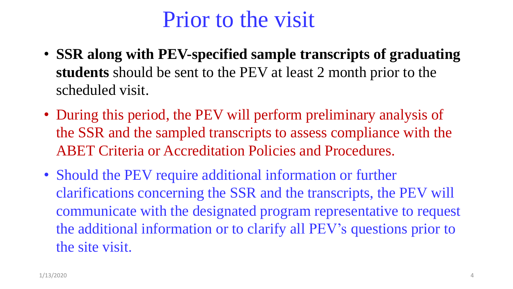#### Prior to the visit

- **SSR along with PEV-specified sample transcripts of graduating students** should be sent to the PEV at least 2 month prior to the scheduled visit.
- During this period, the PEV will perform preliminary analysis of the SSR and the sampled transcripts to assess compliance with the ABET Criteria or Accreditation Policies and Procedures.
- Should the PEV require additional information or further clarifications concerning the SSR and the transcripts, the PEV will communicate with the designated program representative to request the additional information or to clarify all PEV's questions prior to the site visit.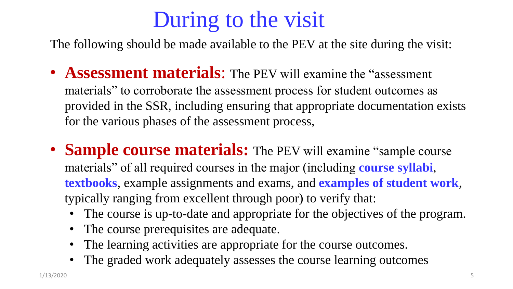# During to the visit

The following should be made available to the PEV at the site during the visit:

- **Assessment materials**: The PEV will examine the "assessment materials" to corroborate the assessment process for student outcomes as provided in the SSR, including ensuring that appropriate documentation exists for the various phases of the assessment process,
- **Sample course materials:** The PEV will examine "sample course" materials" of all required courses in the major (including **course syllabi**, **textbooks**, example assignments and exams, and **examples of student work**, typically ranging from excellent through poor) to verify that:
	- The course is up-to-date and appropriate for the objectives of the program.
	- The course prerequisites are adequate.
	- The learning activities are appropriate for the course outcomes.
	- The graded work adequately assesses the course learning outcomes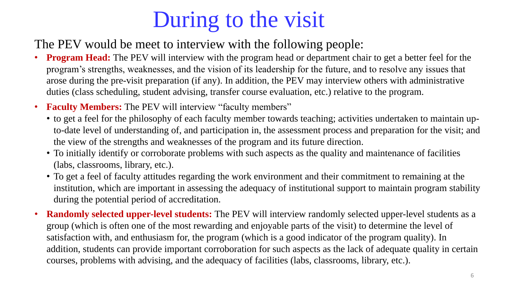# During to the visit

The PEV would be meet to interview with the following people:

- **Program Head:** The PEV will interview with the program head or department chair to get a better feel for the program's strengths, weaknesses, and the vision of its leadership for the future, and to resolve any issues that arose during the pre-visit preparation (if any). In addition, the PEV may interview others with administrative duties (class scheduling, student advising, transfer course evaluation, etc.) relative to the program.
- **Faculty Members:** The PEV will interview "faculty members"
	- to get a feel for the philosophy of each faculty member towards teaching; activities undertaken to maintain upto-date level of understanding of, and participation in, the assessment process and preparation for the visit; and the view of the strengths and weaknesses of the program and its future direction.
	- To initially identify or corroborate problems with such aspects as the quality and maintenance of facilities (labs, classrooms, library, etc.).
	- To get a feel of faculty attitudes regarding the work environment and their commitment to remaining at the institution, which are important in assessing the adequacy of institutional support to maintain program stability during the potential period of accreditation.
- **Randomly selected upper-level students:** The PEV will interview randomly selected upper-level students as a group (which is often one of the most rewarding and enjoyable parts of the visit) to determine the level of satisfaction with, and enthusiasm for, the program (which is a good indicator of the program quality). In addition, students can provide important corroboration for such aspects as the lack of adequate quality in certain courses, problems with advising, and the adequacy of facilities (labs, classrooms, library, etc.).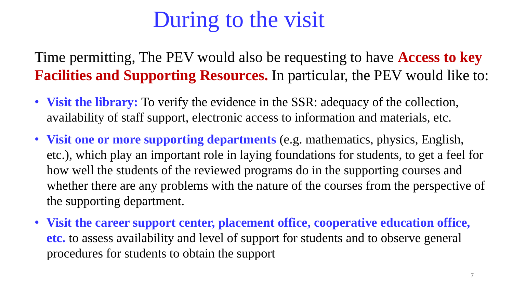## During to the visit

Time permitting, The PEV would also be requesting to have **Access to key Facilities and Supporting Resources.** In particular, the PEV would like to:

- **Visit the library:** To verify the evidence in the SSR: adequacy of the collection, availability of staff support, electronic access to information and materials, etc.
- **Visit one or more supporting departments** (e.g. mathematics, physics, English, etc.), which play an important role in laying foundations for students, to get a feel for how well the students of the reviewed programs do in the supporting courses and whether there are any problems with the nature of the courses from the perspective of the supporting department.
- **Visit the career support center, placement office, cooperative education office, etc.** to assess availability and level of support for students and to observe general procedures for students to obtain the support